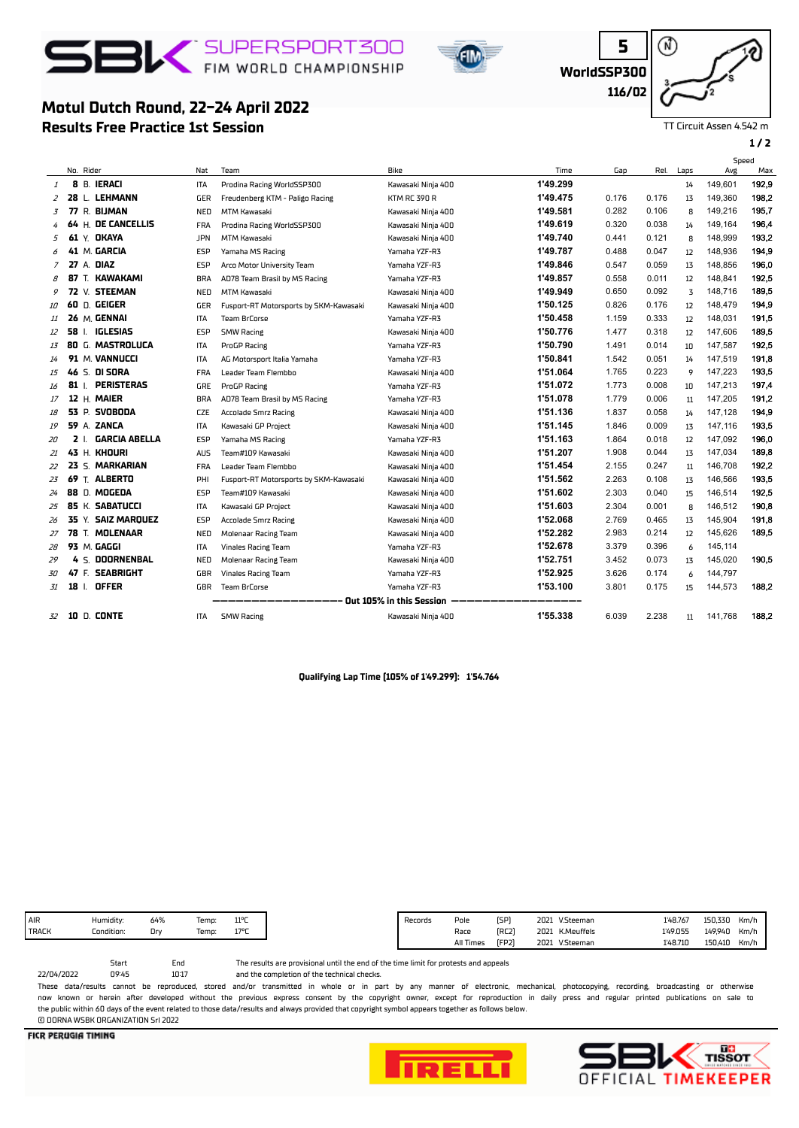

**Results Free Practice 1st Session**

**Motul Dutch Round, 22-24 April 2022**



**WorldSSP300**

**5** ⋒ **116/02**

TT Circuit Assen 4.542 m

**1 / 2**

|    |    |            |                      |            |                                        |                          |          |       |       |      | Speed   |       |
|----|----|------------|----------------------|------------|----------------------------------------|--------------------------|----------|-------|-------|------|---------|-------|
|    |    | No. Rider  |                      | Nat        | Team                                   | Bike                     | Time     | Gap   | Rel.  | Laps | Avg     | Max   |
| 1  |    |            | 8 B. IERACI          | ITA        | Prodina Racing WorldSSP300             | Kawasaki Ninja 400       | 1'49.299 |       |       | 14   | 149,601 | 192,9 |
| 2  | 28 |            | L. LEHMANN           | GER        | Freudenberg KTM - Paligo Racing        | KTM RC 390 R             | 1'49.475 | 0.176 | 0.176 | 13   | 149,360 | 198,2 |
| 3  |    |            | 77 R. BIJMAN         | NED        | <b>MTM Kawasaki</b>                    | Kawasaki Ninja 400       | 1'49.581 | 0.282 | 0.106 | 8    | 149.216 | 195.7 |
|    |    |            | 64 H. DE CANCELLIS   | <b>FRA</b> | Prodina Racing WorldSSP300             | Kawasaki Ninja 400       | 1'49.619 | 0.320 | 0.038 | 14   | 149,164 | 196,4 |
| 5  |    |            | 61 Y. OKAYA          | <b>JPN</b> | <b>MTM Kawasaki</b>                    | Kawasaki Ninja 400       | 1'49.740 | 0.441 | 0.121 | 8    | 148,999 | 193,2 |
| 6  |    |            | 41 M. GARCIA         | <b>ESP</b> | Yamaha MS Racing                       | Yamaha YZF-R3            | 1'49.787 | 0.488 | 0.047 | 12   | 148,936 | 194,9 |
| 7  |    |            | <b>27 A. DIAZ</b>    | <b>ESP</b> | Arco Motor University Team             | Yamaha YZF-R3            | 1'49.846 | 0.547 | 0.059 | 13   | 148.856 | 196,0 |
| 8  | 87 |            | T. KAWAKAMI          | <b>BRA</b> | AD78 Team Brasil by MS Racing          | Yamaha YZF-R3            | 1'49.857 | 0.558 | 0.011 | 12   | 148,841 | 192,5 |
| 9  |    |            | 72 V. STEEMAN        | NED        | MTM Kawasaki                           | Kawasaki Ninja 400       | 1'49.949 | 0.650 | 0.092 | 3    | 148,716 | 189,5 |
| 10 | 60 |            | D. GEIGER            | GER        | Fusport-RT Motorsports by SKM-Kawasaki | Kawasaki Ninja 400       | 1'50.125 | 0.826 | 0.176 | 12   | 148,479 | 194,9 |
| 11 |    |            | 26 M. GENNAI         | <b>ITA</b> | <b>Team BrCorse</b>                    | Yamaha YZF-R3            | 1'50.458 | 1.159 | 0.333 | 12   | 148,031 | 191,5 |
| 12 | 58 | Ι.         | IGLESIAS             | <b>ESP</b> | <b>SMW Racing</b>                      | Kawasaki Ninja 400       | 1'50.776 | 1.477 | 0.318 | 12   | 147,606 | 189,5 |
| 13 |    |            | 80 G. MASTROLUCA     | ITA        | ProGP Racing                           | Yamaha YZF-R3            | 1'50.790 | 1.491 | 0.014 | 10   | 147,587 | 192,5 |
| 14 |    |            | 91 M. VANNUCCI       | ITA        | AG Motorsport Italia Yamaha            | Yamaha YZF-R3            | 1'50.841 | 1.542 | 0.051 | 14   | 147,519 | 191,8 |
| 15 | 46 |            | S. DI SORA           | <b>FRA</b> | Leader Team Flembbo                    | Kawasaki Ninja 400       | 1'51.064 | 1.765 | 0.223 | 9    | 147.223 | 193,5 |
| 16 |    | 81 I.      | <b>PERISTERAS</b>    | GRE        | ProGP Racing                           | Yamaha YZF-R3            | 1'51.072 | 1.773 | 0.008 | 10   | 147,213 | 197,4 |
| 17 |    |            | 12 H. MAIER          | <b>BRA</b> | AD78 Team Brasil by MS Racing          | Yamaha YZF-R3            | 1'51.078 | 1.779 | 0.006 | 11   | 147,205 | 191,2 |
| 18 |    |            | 53 P. SVOBODA        | <b>CZE</b> | <b>Accolade Smrz Racing</b>            | Kawasaki Ninja 400       | 1'51.136 | 1.837 | 0.058 | 14   | 147,128 | 194,9 |
| 19 |    |            | 59 A. ZANCA          | <b>ITA</b> | Kawasaki GP Project                    | Kawasaki Ninja 400       | 1'51.145 | 1.846 | 0.009 | 13   | 147,116 | 193,5 |
| 20 |    | <b>2</b> L | <b>GARCIA ABELLA</b> | <b>ESP</b> | Yamaha MS Racing                       | Yamaha YZF-R3            | 1'51.163 | 1.864 | 0.018 | 12   | 147,092 | 196,0 |
| 21 |    |            | 43 H. KHOURI         | <b>AUS</b> | Team#109 Kawasaki                      | Kawasaki Ninja 400       | 1'51.207 | 1.908 | 0.044 | 13   | 147.034 | 189,8 |
| 22 |    |            | 23 S. MARKARIAN      | <b>FRA</b> | Leader Team Flembbo                    | Kawasaki Ninja 400       | 1'51.454 | 2.155 | 0.247 | 11   | 146,708 | 192,2 |
| 23 | 69 |            | T. ALBERTO           | PHI        | Fusport-RT Motorsports by SKM-Kawasaki | Kawasaki Ninja 400       | 1'51.562 | 2.263 | 0.108 | 13   | 146,566 | 193,5 |
| 24 |    |            | 88 D. MOGEDA         | ESP        | Team#109 Kawasaki                      | Kawasaki Ninja 400       | 1'51.602 | 2.303 | 0.040 | 15   | 146,514 | 192,5 |
| 25 |    |            | 85 K. SABATUCCI      | ITA        | Kawasaki GP Project                    | Kawasaki Ninja 400       | 1'51.603 | 2.304 | 0.001 | 8    | 146,512 | 190,8 |
| 26 | 35 |            | Y. SAIZ MAROUEZ      | <b>ESP</b> | Accolade Smrz Racing                   | Kawasaki Ninia 400       | 1'52.068 | 2.769 | 0.465 | 13   | 145,904 | 191,8 |
| 27 | 78 |            | T. MOLENAAR          | NED        | Molenaar Racing Team                   | Kawasaki Ninja 400       | 1'52.282 | 2.983 | 0.214 | 12   | 145,626 | 189,5 |
| 28 |    |            | 93 M. GAGGI          | ITA        | <b>Vinales Racing Team</b>             | Yamaha YZF-R3            | 1'52.678 | 3.379 | 0.396 | 6    | 145,114 |       |
| 29 |    |            | 4 S. DOORNENBAL      | NED        | Molenaar Racing Team                   | Kawasaki Ninja 400       | 1'52.751 | 3.452 | 0.073 | 13   | 145,020 | 190,5 |
| 30 |    | 47 F.      | <b>SEABRIGHT</b>     | GBR        | <b>Vinales Racing Team</b>             | Yamaha YZF-R3            | 1'52.925 | 3.626 | 0.174 | 6    | 144,797 |       |
| 31 |    |            | 18   OFFER           | GBR        | Team BrCorse                           | Yamaha YZF-R3            | 1'53.100 | 3.801 | 0.175 | 15   | 144,573 | 188,2 |
|    |    |            |                      |            |                                        | Out 105% in this Session |          |       |       |      |         |       |
| 32 |    |            | <b>10 D. CONTE</b>   | <b>ITA</b> | <b>SMW Racing</b>                      | Kawasaki Ninja 400       | 1'55.338 | 6.039 | 2.238 | 11   | 141,768 | 188,2 |

## **Qualifying Lap Time (105% of 1'49.299): 1'54.764**

The results are provisional until the end of the time limit for protests and appeals 10:17 Start End<br>09:45 10:11

and the completion of the technical checks.

These data/results cannot be reproduced, stored and/or transmitted in whole or in part by any manner of electronic, mechanical, photocopying, recording, broadcasting or otherwise now known or herein afer developed without the previous express consent by the copyright owner, except for reproduction in daily press and regular printed publications on sale to the public within 60 days of the event related to those data/results and always provided that copyright symbol appears together as follows below. © DORNA WSBK ORGANIZATION Srl 2022

**FICR PERUGIA TIMING** 

22/04/2022